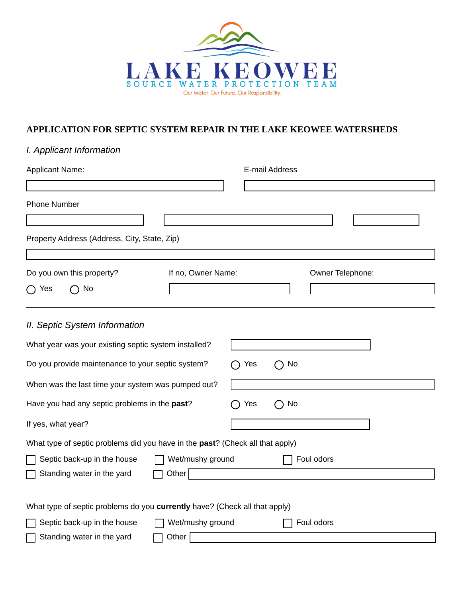

## **APPLICATION FOR SEPTIC SYSTEM REPAIR IN THE LAKE KEOWEE WATERSHEDS**

|  |  | I. Applicant Information |
|--|--|--------------------------|
|--|--|--------------------------|

| <b>Applicant Name:</b>                                                        | E-mail Address   |  |  |  |
|-------------------------------------------------------------------------------|------------------|--|--|--|
|                                                                               |                  |  |  |  |
| <b>Phone Number</b>                                                           |                  |  |  |  |
|                                                                               |                  |  |  |  |
| Property Address (Address, City, State, Zip)                                  |                  |  |  |  |
|                                                                               |                  |  |  |  |
| Do you own this property?<br>If no, Owner Name:                               | Owner Telephone: |  |  |  |
| No<br>Yes<br>$\rightarrow$                                                    |                  |  |  |  |
|                                                                               |                  |  |  |  |
| II. Septic System Information                                                 |                  |  |  |  |
| What year was your existing septic system installed?                          |                  |  |  |  |
| Do you provide maintenance to your septic system?<br>No<br>Yes                |                  |  |  |  |
| When was the last time your system was pumped out?                            |                  |  |  |  |
| Have you had any septic problems in the past?                                 | No<br>Yes        |  |  |  |
| If yes, what year?                                                            |                  |  |  |  |
| What type of septic problems did you have in the past? (Check all that apply) |                  |  |  |  |
| Septic back-up in the house<br>Wet/mushy ground<br>Foul odors                 |                  |  |  |  |
| Other<br>Standing water in the yard                                           |                  |  |  |  |
|                                                                               |                  |  |  |  |
| What type of septic problems do you currently have? (Check all that apply)    |                  |  |  |  |
| Wet/mushy ground<br>Septic back-up in the house<br>Foul odors                 |                  |  |  |  |
| Standing water in the yard<br>Other                                           |                  |  |  |  |